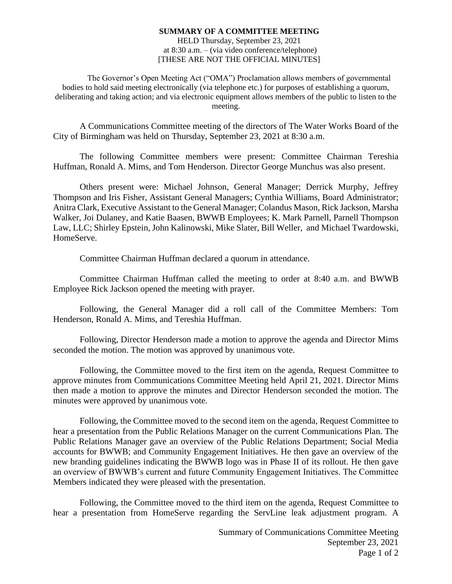## **SUMMARY OF A COMMITTEE MEETING** HELD Thursday, September 23, 2021 at 8:30 a.m. – (via video conference/telephone) [THESE ARE NOT THE OFFICIAL MINUTES]

The Governor's Open Meeting Act ("OMA") Proclamation allows members of governmental bodies to hold said meeting electronically (via telephone etc.) for purposes of establishing a quorum, deliberating and taking action; and via electronic equipment allows members of the public to listen to the meeting.

A Communications Committee meeting of the directors of The Water Works Board of the City of Birmingham was held on Thursday, September 23, 2021 at 8:30 a.m.

The following Committee members were present: Committee Chairman Tereshia Huffman, Ronald A. Mims, and Tom Henderson. Director George Munchus was also present.

Others present were: Michael Johnson, General Manager; Derrick Murphy, Jeffrey Thompson and Iris Fisher, Assistant General Managers; Cynthia Williams, Board Administrator; Anitra Clark, Executive Assistant to the General Manager; Colandus Mason, Rick Jackson, Marsha Walker, Joi Dulaney, and Katie Baasen, BWWB Employees; K. Mark Parnell, Parnell Thompson Law, LLC; Shirley Epstein, John Kalinowski, Mike Slater, Bill Weller, and Michael Twardowski, HomeServe.

Committee Chairman Huffman declared a quorum in attendance.

Committee Chairman Huffman called the meeting to order at 8:40 a.m. and BWWB Employee Rick Jackson opened the meeting with prayer.

Following, the General Manager did a roll call of the Committee Members: Tom Henderson, Ronald A. Mims, and Tereshia Huffman.

Following, Director Henderson made a motion to approve the agenda and Director Mims seconded the motion. The motion was approved by unanimous vote.

Following, the Committee moved to the first item on the agenda, Request Committee to approve minutes from Communications Committee Meeting held April 21, 2021. Director Mims then made a motion to approve the minutes and Director Henderson seconded the motion. The minutes were approved by unanimous vote.

Following, the Committee moved to the second item on the agenda, Request Committee to hear a presentation from the Public Relations Manager on the current Communications Plan. The Public Relations Manager gave an overview of the Public Relations Department; Social Media accounts for BWWB; and Community Engagement Initiatives. He then gave an overview of the new branding guidelines indicating the BWWB logo was in Phase II of its rollout. He then gave an overview of BWWB's current and future Community Engagement Initiatives. The Committee Members indicated they were pleased with the presentation.

Following, the Committee moved to the third item on the agenda, Request Committee to hear a presentation from HomeServe regarding the ServLine leak adjustment program. A